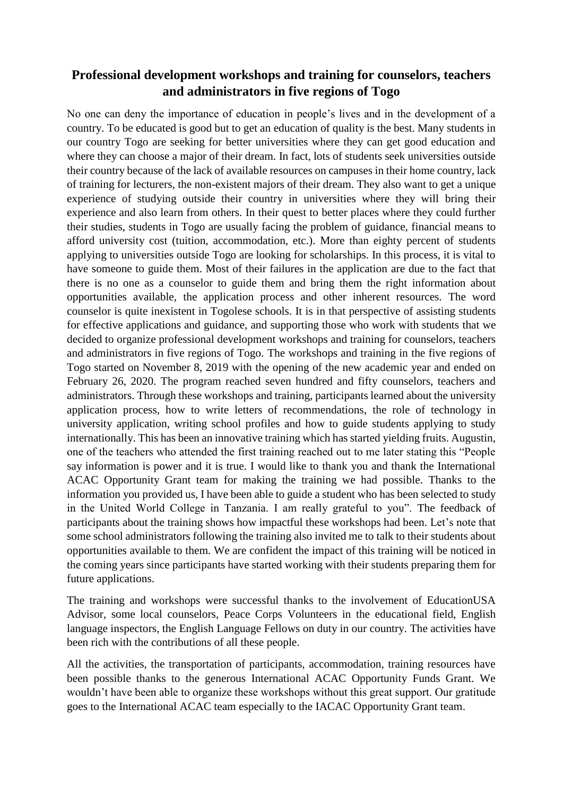## **Professional development workshops and training for counselors, teachers and administrators in five regions of Togo**

No one can deny the importance of education in people's lives and in the development of a country. To be educated is good but to get an education of quality is the best. Many students in our country Togo are seeking for better universities where they can get good education and where they can choose a major of their dream. In fact, lots of students seek universities outside their country because of the lack of available resources on campuses in their home country, lack of training for lecturers, the non-existent majors of their dream. They also want to get a unique experience of studying outside their country in universities where they will bring their experience and also learn from others. In their quest to better places where they could further their studies, students in Togo are usually facing the problem of guidance, financial means to afford university cost (tuition, accommodation, etc.). More than eighty percent of students applying to universities outside Togo are looking for scholarships. In this process, it is vital to have someone to guide them. Most of their failures in the application are due to the fact that there is no one as a counselor to guide them and bring them the right information about opportunities available, the application process and other inherent resources. The word counselor is quite inexistent in Togolese schools. It is in that perspective of assisting students for effective applications and guidance, and supporting those who work with students that we decided to organize professional development workshops and training for counselors, teachers and administrators in five regions of Togo. The workshops and training in the five regions of Togo started on November 8, 2019 with the opening of the new academic year and ended on February 26, 2020. The program reached seven hundred and fifty counselors, teachers and administrators. Through these workshops and training, participants learned about the university application process, how to write letters of recommendations, the role of technology in university application, writing school profiles and how to guide students applying to study internationally. This has been an innovative training which has started yielding fruits. Augustin, one of the teachers who attended the first training reached out to me later stating this "People say information is power and it is true. I would like to thank you and thank the International ACAC Opportunity Grant team for making the training we had possible. Thanks to the information you provided us, I have been able to guide a student who has been selected to study in the United World College in Tanzania. I am really grateful to you". The feedback of participants about the training shows how impactful these workshops had been. Let's note that some school administrators following the training also invited me to talk to their students about opportunities available to them. We are confident the impact of this training will be noticed in the coming years since participants have started working with their students preparing them for future applications.

The training and workshops were successful thanks to the involvement of EducationUSA Advisor, some local counselors, Peace Corps Volunteers in the educational field, English language inspectors, the English Language Fellows on duty in our country. The activities have been rich with the contributions of all these people.

All the activities, the transportation of participants, accommodation, training resources have been possible thanks to the generous International ACAC Opportunity Funds Grant. We wouldn't have been able to organize these workshops without this great support. Our gratitude goes to the International ACAC team especially to the IACAC Opportunity Grant team.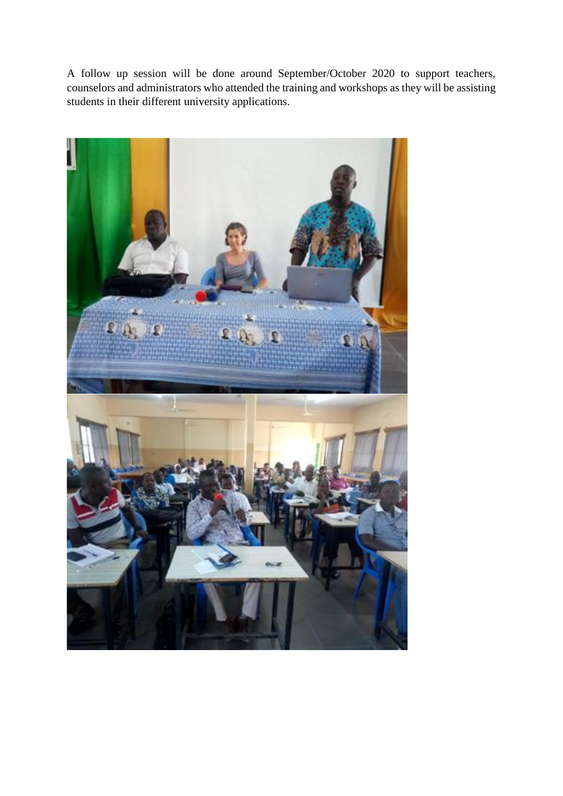A follow up session will be done around September/October 2020 to support teachers, counselors and administrators who attended the training and workshops as they will be assisting students in their different university applications.

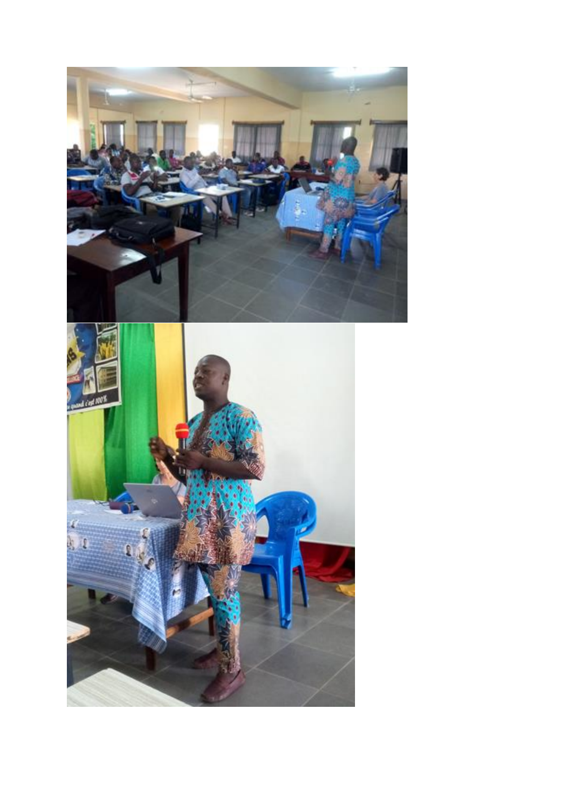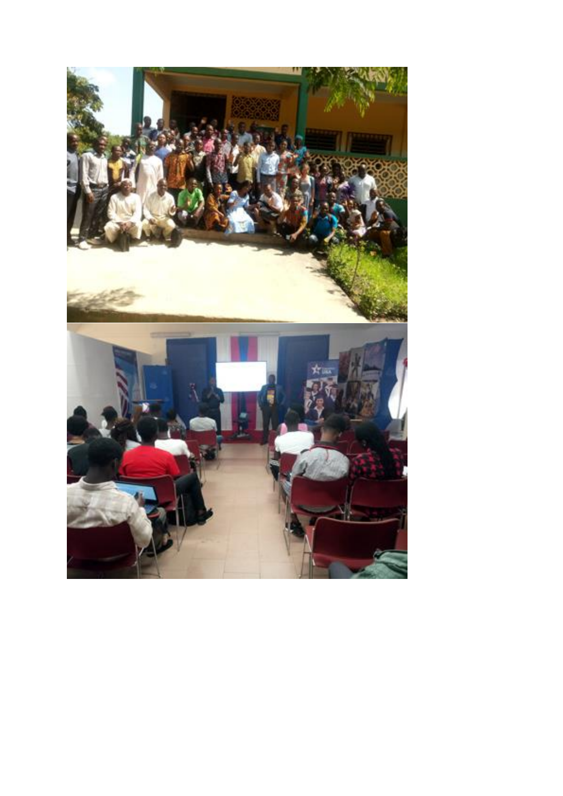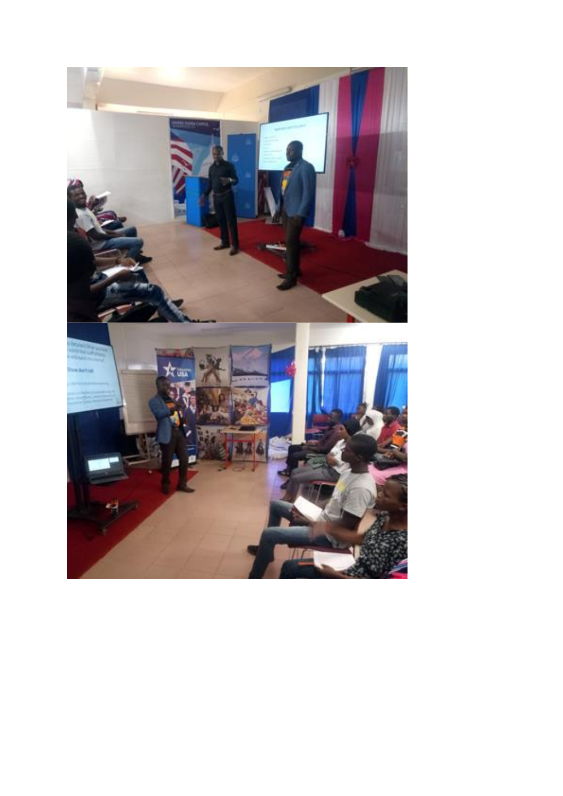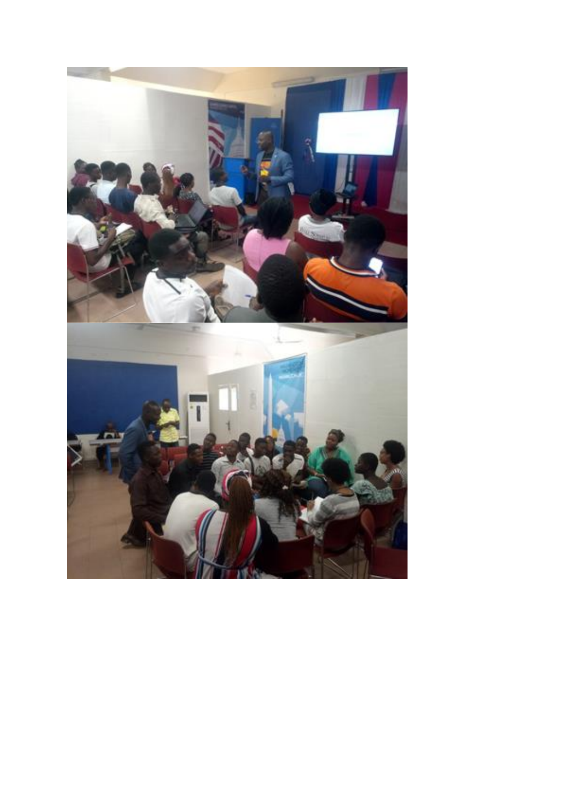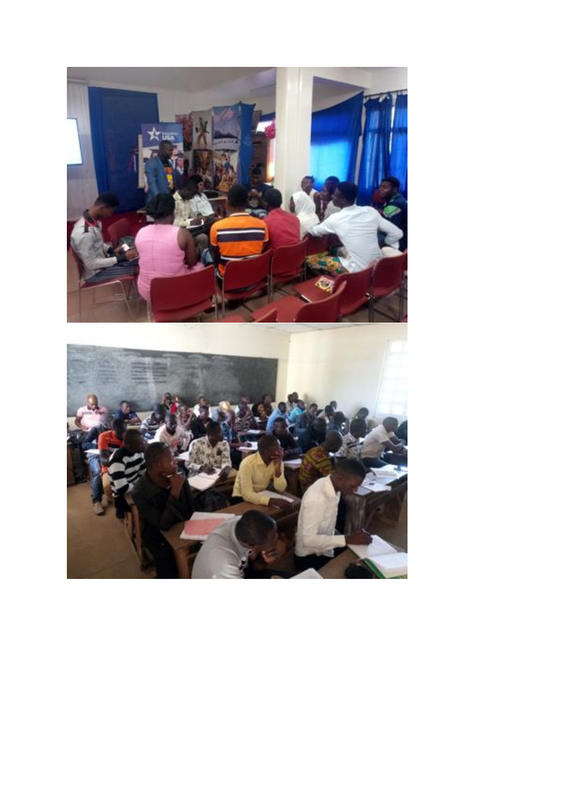

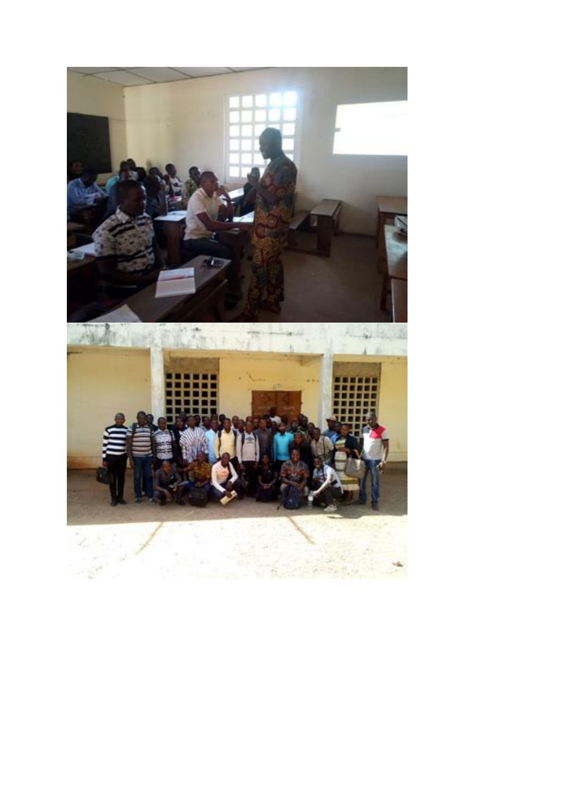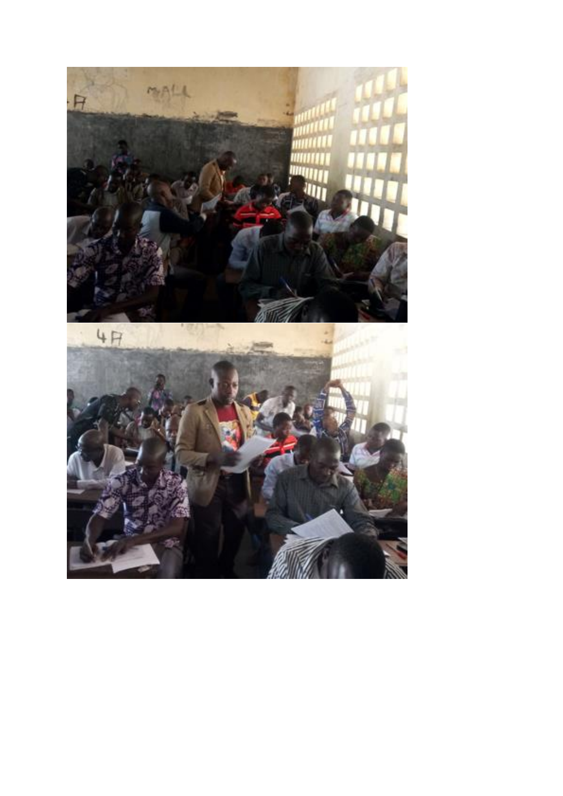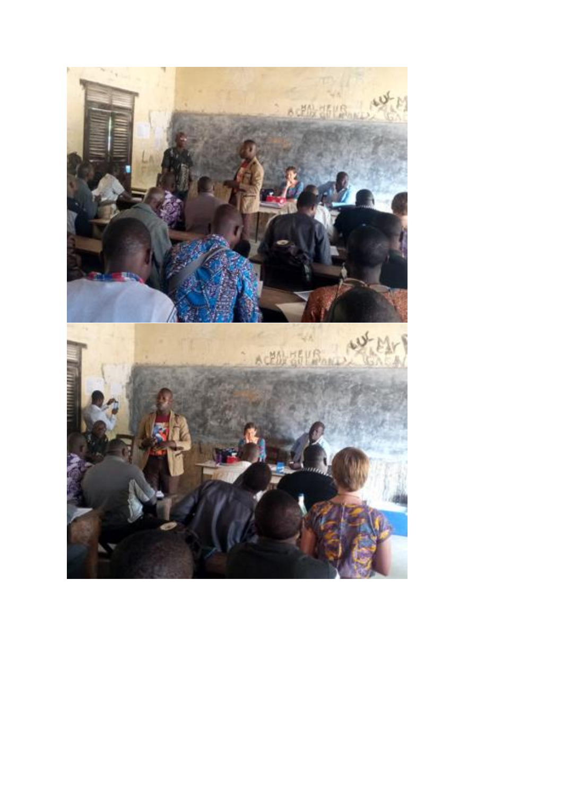